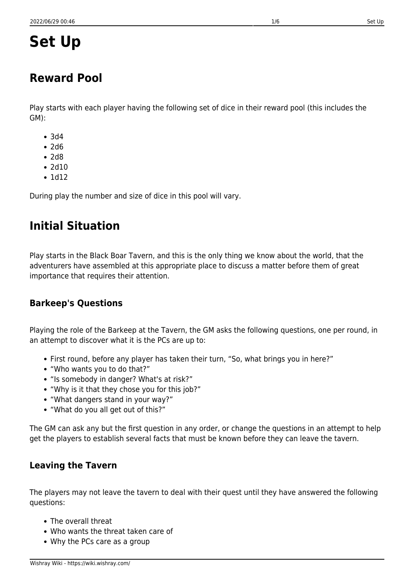# **Set Up**

### **Reward Pool**

Play starts with each player having the following set of dice in their reward pool (this includes the GM):

- 3d4
- $•7d6$
- $\bullet$  2d8
- $2d10$
- $\cdot$  1d12

During play the number and size of dice in this pool will vary.

## **Initial Situation**

Play starts in the Black Boar Tavern, and this is the only thing we know about the world, that the adventurers have assembled at this appropriate place to discuss a matter before them of great importance that requires their attention.

### **Barkeep's Questions**

Playing the role of the Barkeep at the Tavern, the GM asks the following questions, one per round, in an attempt to discover what it is the PCs are up to:

- First round, before any player has taken their turn, "So, what brings you in here?"
- "Who wants you to do that?"
- "Is somebody in danger? What's at risk?"
- "Why is it that they chose you for this job?"
- "What dangers stand in your way?"
- "What do you all get out of this?"

The GM can ask any but the first question in any order, or change the questions in an attempt to help get the players to establish several facts that must be known before they can leave the tavern.

### **Leaving the Tavern**

The players may not leave the tavern to deal with their quest until they have answered the following questions:

- The overall threat
- Who wants the threat taken care of
- Why the PCs care as a group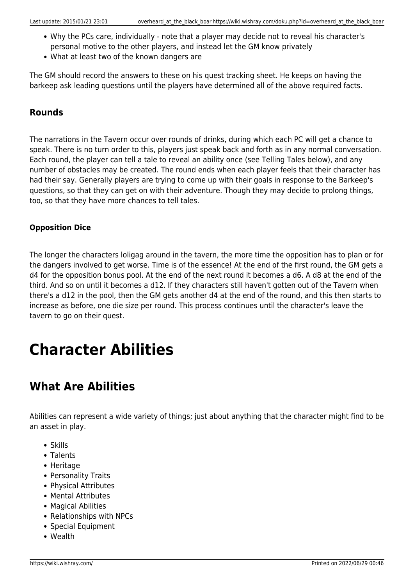- Why the PCs care, individually note that a player may decide not to reveal his character's personal motive to the other players, and instead let the GM know privately
- What at least two of the known dangers are

The GM should record the answers to these on his quest tracking sheet. He keeps on having the barkeep ask leading questions until the players have determined all of the above required facts.

### **Rounds**

The narrations in the Tavern occur over rounds of drinks, during which each PC will get a chance to speak. There is no turn order to this, players just speak back and forth as in any normal conversation. Each round, the player can tell a tale to reveal an ability once (see Telling Tales below), and any number of obstacles may be created. The round ends when each player feels that their character has had their say. Generally players are trying to come up with their goals in response to the Barkeep's questions, so that they can get on with their adventure. Though they may decide to prolong things, too, so that they have more chances to tell tales.

#### **Opposition Dice**

The longer the characters loligag around in the tavern, the more time the opposition has to plan or for the dangers involved to get worse. Time is of the essence! At the end of the first round, the GM gets a d4 for the opposition bonus pool. At the end of the next round it becomes a d6. A d8 at the end of the third. And so on until it becomes a d12. If they characters still haven't gotten out of the Tavern when there's a d12 in the pool, then the GM gets another d4 at the end of the round, and this then starts to increase as before, one die size per round. This process continues until the character's leave the tavern to go on their quest.

# **Character Abilities**

## **What Are Abilities**

Abilities can represent a wide variety of things; just about anything that the character might find to be an asset in play.

- Skills
- Talents
- Heritage
- Personality Traits
- Physical Attributes
- Mental Attributes
- Magical Abilities
- Relationships with NPCs
- Special Equipment
- Wealth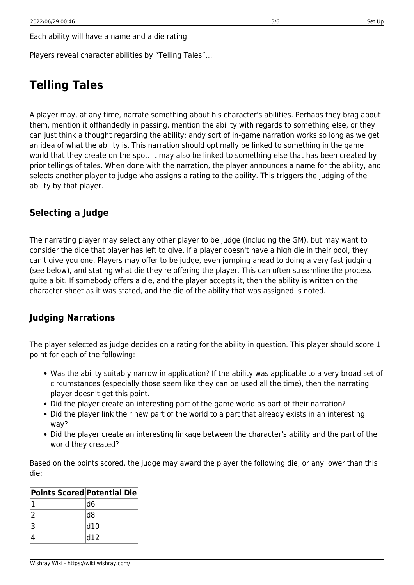Each ability will have a name and a die rating.

Players reveal character abilities by "Telling Tales"…

### **Telling Tales**

A player may, at any time, narrate something about his character's abilities. Perhaps they brag about them, mention it offhandedly in passing, mention the ability with regards to something else, or they can just think a thought regarding the ability; andy sort of in-game narration works so long as we get an idea of what the ability is. This narration should optimally be linked to something in the game world that they create on the spot. It may also be linked to something else that has been created by prior tellings of tales. When done with the narration, the player announces a name for the ability, and selects another player to judge who assigns a rating to the ability. This triggers the judging of the ability by that player.

### **Selecting a Judge**

The narrating player may select any other player to be judge (including the GM), but may want to consider the dice that player has left to give. If a player doesn't have a high die in their pool, they can't give you one. Players may offer to be judge, even jumping ahead to doing a very fast judging (see below), and stating what die they're offering the player. This can often streamline the process quite a bit. If somebody offers a die, and the player accepts it, then the ability is written on the character sheet as it was stated, and the die of the ability that was assigned is noted.

#### **Judging Narrations**

The player selected as judge decides on a rating for the ability in question. This player should score 1 point for each of the following:

- Was the ability suitably narrow in application? If the ability was applicable to a very broad set of circumstances (especially those seem like they can be used all the time), then the narrating player doesn't get this point.
- Did the player create an interesting part of the game world as part of their narration?
- Did the player link their new part of the world to a part that already exists in an interesting way?
- Did the player create an interesting linkage between the character's ability and the part of the world they created?

Based on the points scored, the judge may award the player the following die, or any lower than this die:

| <b>Points Scored Potential Die</b> |                 |
|------------------------------------|-----------------|
|                                    | ld6             |
|                                    | $\overline{d8}$ |
| 3                                  | d10             |
|                                    | d12             |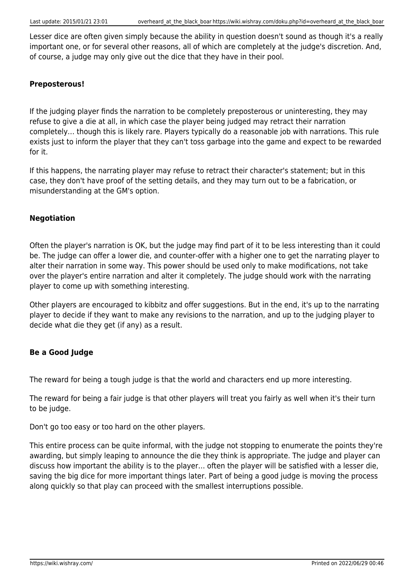Lesser dice are often given simply because the ability in question doesn't sound as though it's a really important one, or for several other reasons, all of which are completely at the judge's discretion. And, of course, a judge may only give out the dice that they have in their pool.

#### **Preposterous!**

If the judging player finds the narration to be completely preposterous or uninteresting, they may refuse to give a die at all, in which case the player being judged may retract their narration completely… though this is likely rare. Players typically do a reasonable job with narrations. This rule exists just to inform the player that they can't toss garbage into the game and expect to be rewarded for it.

If this happens, the narrating player may refuse to retract their character's statement; but in this case, they don't have proof of the setting details, and they may turn out to be a fabrication, or misunderstanding at the GM's option.

#### **Negotiation**

Often the player's narration is OK, but the judge may find part of it to be less interesting than it could be. The judge can offer a lower die, and counter-offer with a higher one to get the narrating player to alter their narration in some way. This power should be used only to make modifications, not take over the player's entire narration and alter it completely. The judge should work with the narrating player to come up with something interesting.

Other players are encouraged to kibbitz and offer suggestions. But in the end, it's up to the narrating player to decide if they want to make any revisions to the narration, and up to the judging player to decide what die they get (if any) as a result.

#### **Be a Good Judge**

The reward for being a tough judge is that the world and characters end up more interesting.

The reward for being a fair judge is that other players will treat you fairly as well when it's their turn to be judge.

Don't go too easy or too hard on the other players.

This entire process can be quite informal, with the judge not stopping to enumerate the points they're awarding, but simply leaping to announce the die they think is appropriate. The judge and player can discuss how important the ability is to the player… often the player will be satisfied with a lesser die, saving the big dice for more important things later. Part of being a good judge is moving the process along quickly so that play can proceed with the smallest interruptions possible.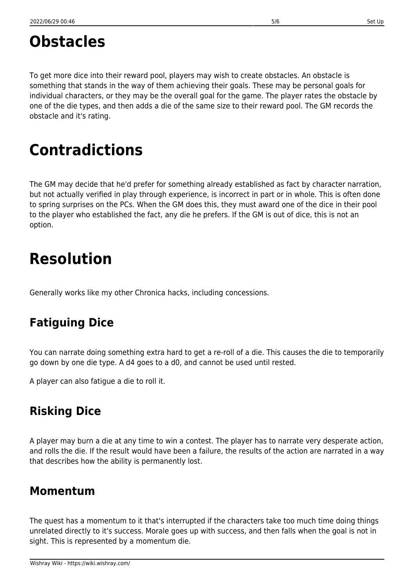To get more dice into their reward pool, players may wish to create obstacles. An obstacle is something that stands in the way of them achieving their goals. These may be personal goals for individual characters, or they may be the overall goal for the game. The player rates the obstacle by one of the die types, and then adds a die of the same size to their reward pool. The GM records the obstacle and it's rating.

## **Contradictions**

The GM may decide that he'd prefer for something already established as fact by character narration, but not actually verified in play through experience, is incorrect in part or in whole. This is often done to spring surprises on the PCs. When the GM does this, they must award one of the dice in their pool to the player who established the fact, any die he prefers. If the GM is out of dice, this is not an option.

# **Resolution**

Generally works like my other Chronica hacks, including concessions.

## **Fatiguing Dice**

You can narrate doing something extra hard to get a re-roll of a die. This causes the die to temporarily go down by one die type. A d4 goes to a d0, and cannot be used until rested.

A player can also fatigue a die to roll it.

## **Risking Dice**

A player may burn a die at any time to win a contest. The player has to narrate very desperate action, and rolls the die. If the result would have been a failure, the results of the action are narrated in a way that describes how the ability is permanently lost.

### **Momentum**

The quest has a momentum to it that's interrupted if the characters take too much time doing things unrelated directly to it's success. Morale goes up with success, and then falls when the goal is not in sight. This is represented by a momentum die.